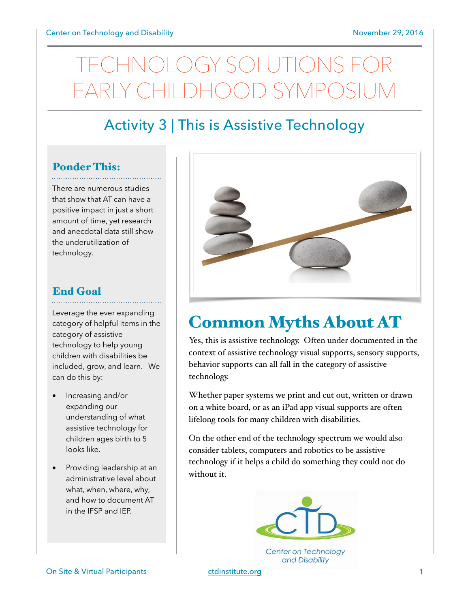# VOLOGY SOLUTIONS EARLY CHILDHOOD SYMPOSIUM

### Activity 3 | This is Assistive Technology

### Ponder This:

There are numerous studies that show that AT can have a positive impact in just a short amount of time, yet research and anecdotal data still show the underutilization of technology.

#### End Goal

. . . . . . . . . . . . . . . . . .

Leverage the ever expanding category of helpful items in the category of assistive technology to help young children with disabilities be included, grow, and learn. We can do this by:

- Increasing and/or expanding our understanding of what assistive technology for children ages birth to 5 looks like.
- Providing leadership at an administrative level about what, when, where, why, and how to document AT in the IFSP and IEP.



## Common Myths About AT

Yes, this is assistive technology. Often under documented in the context of assistive technology visual supports, sensory supports, behavior supports can all fall in the category of assistive technology.

Whether paper systems we print and cut out, written or drawn on a white board, or as an iPad app visual supports are often lifelong tools for many children with disabilities.

On the other end of the technology spectrum we would also consider tablets, computers and robotics to be assistive technology if it helps a child do something they could not do without it.



Center on Technology and Disability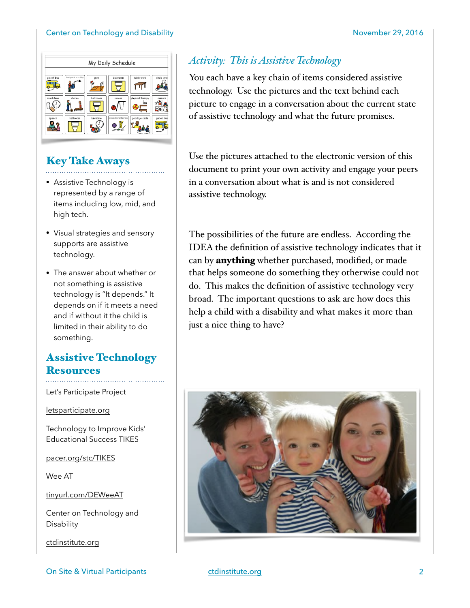#### Center on Technology and Disability November 29, 2016



### Key Take Aways

- Assistive Technology is represented by a range of items including low, mid, and high tech.
- Visual strategies and sensory supports are assistive technology.
- The answer about whether or not something is assistive technology is "It depends." It depends on if it meets a need and if without it the child is limited in their ability to do something.

#### Assistive Technology Resources

Let's Participate Project

letsparticipate.org

Technology to Improve Kids' Educational Success TIKES

pacer.org/stc/TIKES

Wee AT

tinyurl.com/DEWeeAT

Center on Technology and **Disability** 

ctdinstitute.org

### *Activity: This is Assistive Technology*

You each have a key chain of items considered assistive technology. Use the pictures and the text behind each picture to engage in a conversation about the current state of assistive technology and what the future promises.

Use the pictures attached to the electronic version of this document to print your own activity and engage your peers in a conversation about what is and is not considered assistive technology.

The possibilities of the future are endless. According the IDEA the definition of assistive technology indicates that it can by **anything** whether purchased, modified, or made that helps someone do something they otherwise could not do. This makes the definition of assistive technology very broad. The important questions to ask are how does this help a child with a disability and what makes it more than just a nice thing to have?

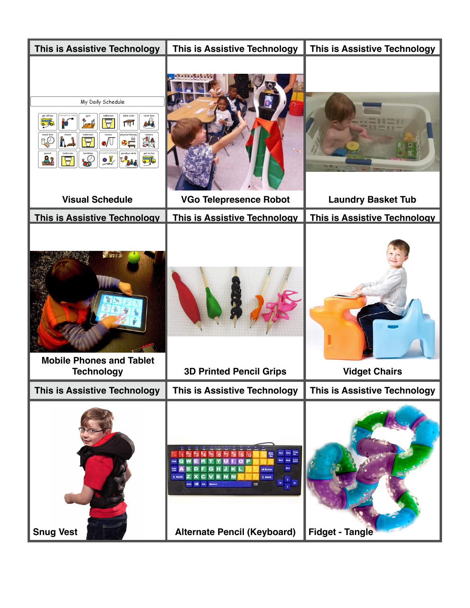| This is Assistive Technology                                                                                                                                                                                                                                                                                                                                                                                                                                                                                                                       | This is Assistive Technology               | This is Assistive Technology        |
|----------------------------------------------------------------------------------------------------------------------------------------------------------------------------------------------------------------------------------------------------------------------------------------------------------------------------------------------------------------------------------------------------------------------------------------------------------------------------------------------------------------------------------------------------|--------------------------------------------|-------------------------------------|
| My Daily Schedule<br>table worl<br>circle time<br>ed.<br>罗<br>ৰ্লি<br>ਚ<br>$\begin{picture}(20,5) \put(0,0) {\line(1,0){15}} \put(15,0) {\line(1,0){15}} \put(15,0) {\line(1,0){15}} \put(15,0) {\line(1,0){15}} \put(15,0) {\line(1,0){15}} \put(15,0) {\line(1,0){15}} \put(15,0) {\line(1,0){15}} \put(15,0) {\line(1,0){15}} \put(15,0) {\line(1,0){15}} \put(15,0) {\line(1,0){15}} \put(15,0) {\line(1,0){15}} \put(15,0) {\line(1,$<br>编员<br>LO<br>$\bullet$<br>导<br>i.<br>get on bus<br><b>B</b><br>$\mathbb{Z}$<br>霉<br>-38<br>Trage<br>叧 |                                            |                                     |
| <b>Visual Schedule</b>                                                                                                                                                                                                                                                                                                                                                                                                                                                                                                                             | <b>VGo Telepresence Robot</b>              | <b>Laundry Basket Tub</b>           |
| <b>This is Assistive Technology</b>                                                                                                                                                                                                                                                                                                                                                                                                                                                                                                                | <b>This is Assistive Technology</b>        | <b>This is Assistive Technology</b> |
| <b>Mobile Phones and Tablet</b><br><b>Technology</b>                                                                                                                                                                                                                                                                                                                                                                                                                                                                                               | <b>3D Printed Pencil Grips</b>             | <b>Vidget Chairs</b>                |
| This is Assistive Technology                                                                                                                                                                                                                                                                                                                                                                                                                                                                                                                       | This is Assistive Technology               | This is Assistive Technology        |
| <b>Snug Vest</b>                                                                                                                                                                                                                                                                                                                                                                                                                                                                                                                                   | ter.<br><b>Alternate Pencil (Keyboard)</b> | <b>Fidget - Tangle</b>              |